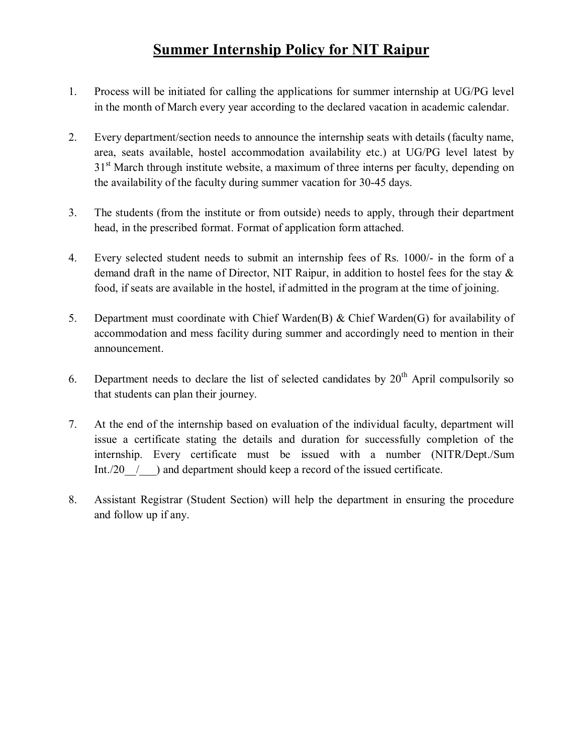# **Summer Internship Policy for NIT Raipur**

- 1. Process will be initiated for calling the applications for summer internship at UG/PG level in the month of March every year according to the declared vacation in academic calendar.
- 2. Every department/section needs to announce the internship seats with details (faculty name, area, seats available, hostel accommodation availability etc.) at UG/PG level latest by 31<sup>st</sup> March through institute website, a maximum of three interns per faculty, depending on the availability of the faculty during summer vacation for 30-45 days.
- 3. The students (from the institute or from outside) needs to apply, through their department head, in the prescribed format. Format of application form attached.
- 4. Every selected student needs to submit an internship fees of Rs. 1000/- in the form of a demand draft in the name of Director, NIT Raipur, in addition to hostel fees for the stay & food, if seats are available in the hostel, if admitted in the program at the time of joining.
- 5. Department must coordinate with Chief Warden(B) & Chief Warden(G) for availability of accommodation and mess facility during summer and accordingly need to mention in their announcement.
- 6. Department needs to declare the list of selected candidates by  $20<sup>th</sup>$  April compulsorily so that students can plan their journey.
- 7. At the end of the internship based on evaluation of the individual faculty, department will issue a certificate stating the details and duration for successfully completion of the internship. Every certificate must be issued with a number (NITR/Dept./Sum Int./20  $\ell$  ) and department should keep a record of the issued certificate.
- 8. Assistant Registrar (Student Section) will help the department in ensuring the procedure and follow up if any.